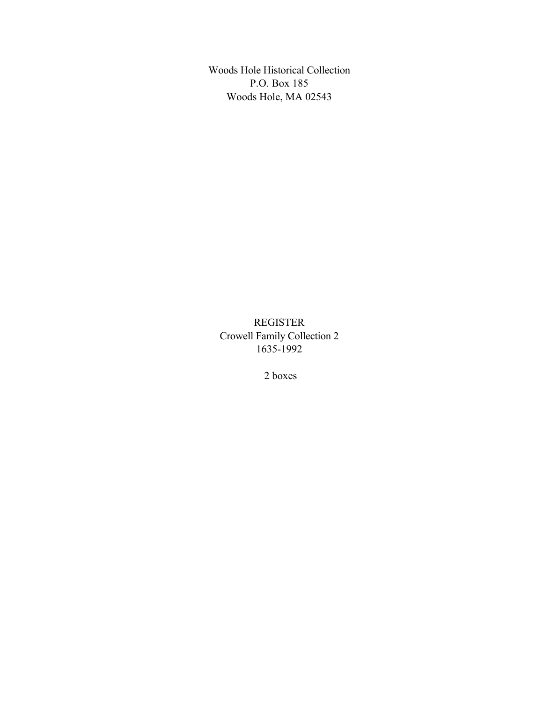Woods Hole Historical Collection P.O. Box 185 Woods Hole, MA 02543

REGISTER Crowell Family Collection 2 1635-1992

2 boxes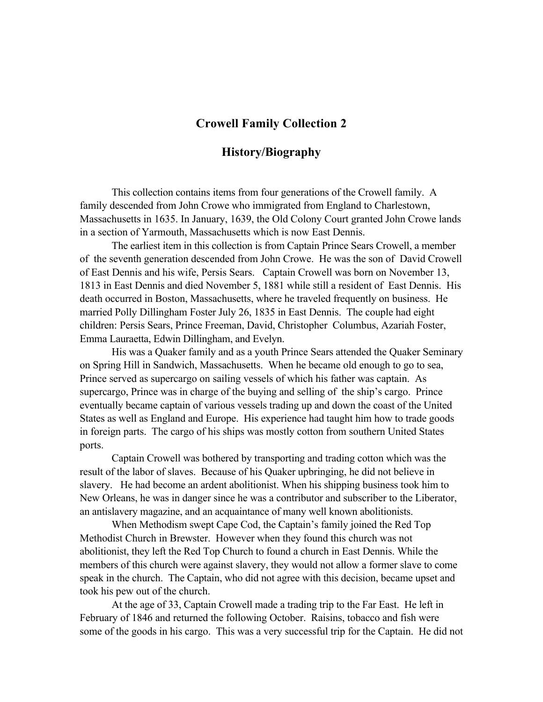# **Crowell Family Collection 2**

# **History/Biography**

This collection contains items from four generations of the Crowell family. A family descended from John Crowe who immigrated from England to Charlestown, Massachusetts in 1635. In January, 1639, the Old Colony Court granted John Crowe lands in a section of Yarmouth, Massachusetts which is now East Dennis.

The earliest item in this collection is from Captain Prince Sears Crowell, a member of the seventh generation descended from John Crowe. He was the son of David Crowell of East Dennis and his wife, Persis Sears. Captain Crowell was born on November 13, 1813 in East Dennis and died November 5, 1881 while still a resident of East Dennis. His death occurred in Boston, Massachusetts, where he traveled frequently on business. He married Polly Dillingham Foster July 26, 1835 in East Dennis. The couple had eight children: Persis Sears, Prince Freeman, David, Christopher Columbus, Azariah Foster, Emma Lauraetta, Edwin Dillingham, and Evelyn.

His was a Quaker family and as a youth Prince Sears attended the Quaker Seminary on Spring Hill in Sandwich, Massachusetts. When he became old enough to go to sea, Prince served as supercargo on sailing vessels of which his father was captain. As supercargo, Prince was in charge of the buying and selling of the ship's cargo. Prince eventually became captain of various vessels trading up and down the coast of the United States as well as England and Europe. His experience had taught him how to trade goods in foreign parts. The cargo of his ships was mostly cotton from southern United States ports.

Captain Crowell was bothered by transporting and trading cotton which was the result of the labor of slaves. Because of his Quaker upbringing, he did not believe in slavery. He had become an ardent abolitionist. When his shipping business took him to New Orleans, he was in danger since he was a contributor and subscriber to the Liberator, an antislavery magazine, and an acquaintance of many well known abolitionists.

When Methodism swept Cape Cod, the Captain's family joined the Red Top Methodist Church in Brewster. However when they found this church was not abolitionist, they left the Red Top Church to found a church in East Dennis. While the members of this church were against slavery, they would not allow a former slave to come speak in the church. The Captain, who did not agree with this decision, became upset and took his pew out of the church.

At the age of 33, Captain Crowell made a trading trip to the Far East. He left in February of 1846 and returned the following October. Raisins, tobacco and fish were some of the goods in his cargo. This was a very successful trip for the Captain. He did not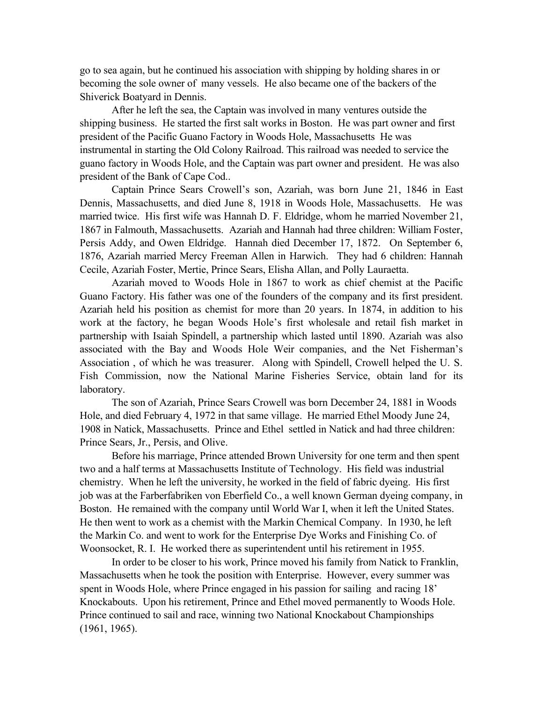go to sea again, but he continued his association with shipping by holding shares in or becoming the sole owner of many vessels. He also became one of the backers of the Shiverick Boatyard in Dennis.

After he left the sea, the Captain was involved in many ventures outside the shipping business. He started the first salt works in Boston. He was part owner and first president of the Pacific Guano Factory in Woods Hole, Massachusetts He was instrumental in starting the Old Colony Railroad. This railroad was needed to service the guano factory in Woods Hole, and the Captain was part owner and president. He was also president of the Bank of Cape Cod..

Captain Prince Sears Crowell's son, Azariah, was born June 21, 1846 in East Dennis, Massachusetts, and died June 8, 1918 in Woods Hole, Massachusetts. He was married twice. His first wife was Hannah D. F. Eldridge, whom he married November 21, 1867 in Falmouth, Massachusetts. Azariah and Hannah had three children: William Foster, Persis Addy, and Owen Eldridge. Hannah died December 17, 1872. On September 6, 1876, Azariah married Mercy Freeman Allen in Harwich. They had 6 children: Hannah Cecile, Azariah Foster, Mertie, Prince Sears, Elisha Allan, and Polly Lauraetta.

Azariah moved to Woods Hole in 1867 to work as chief chemist at the Pacific Guano Factory. His father was one of the founders of the company and its first president. Azariah held his position as chemist for more than 20 years. In 1874, in addition to his work at the factory, he began Woods Hole's first wholesale and retail fish market in partnership with Isaiah Spindell, a partnership which lasted until 1890. Azariah was also associated with the Bay and Woods Hole Weir companies, and the Net Fisherman's Association , of which he was treasurer. Along with Spindell, Crowell helped the U. S. Fish Commission, now the National Marine Fisheries Service, obtain land for its laboratory.

The son of Azariah, Prince Sears Crowell was born December 24, 1881 in Woods Hole, and died February 4, 1972 in that same village. He married Ethel Moody June 24, 1908 in Natick, Massachusetts. Prince and Ethel settled in Natick and had three children: Prince Sears, Jr., Persis, and Olive.

Before his marriage, Prince attended Brown University for one term and then spent two and a half terms at Massachusetts Institute of Technology. His field was industrial chemistry. When he left the university, he worked in the field of fabric dyeing. His first job was at the Farberfabriken von Eberfield Co., a well known German dyeing company, in Boston. He remained with the company until World War I, when it left the United States. He then went to work as a chemist with the Markin Chemical Company. In 1930, he left the Markin Co. and went to work for the Enterprise Dye Works and Finishing Co. of Woonsocket, R. I. He worked there as superintendent until his retirement in 1955.

In order to be closer to his work, Prince moved his family from Natick to Franklin, Massachusetts when he took the position with Enterprise. However, every summer was spent in Woods Hole, where Prince engaged in his passion for sailing and racing 18' Knockabouts. Upon his retirement, Prince and Ethel moved permanently to Woods Hole. Prince continued to sail and race, winning two National Knockabout Championships (1961, 1965).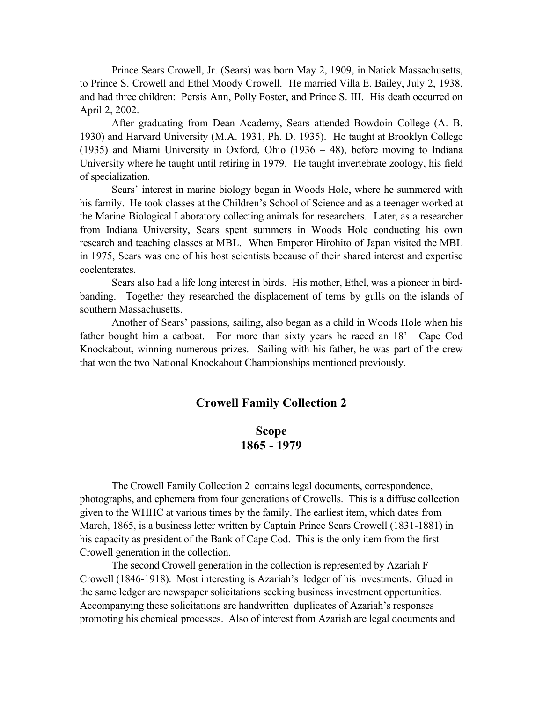Prince Sears Crowell, Jr. (Sears) was born May 2, 1909, in Natick Massachusetts, to Prince S. Crowell and Ethel Moody Crowell. He married Villa E. Bailey, July 2, 1938, and had three children: Persis Ann, Polly Foster, and Prince S. III. His death occurred on April 2, 2002.

After graduating from Dean Academy, Sears attended Bowdoin College (A. B. 1930) and Harvard University (M.A. 1931, Ph. D. 1935). He taught at Brooklyn College (1935) and Miami University in Oxford, Ohio (1936 – 48), before moving to Indiana University where he taught until retiring in 1979. He taught invertebrate zoology, his field of specialization.

Sears' interest in marine biology began in Woods Hole, where he summered with his family. He took classes at the Children's School of Science and as a teenager worked at the Marine Biological Laboratory collecting animals for researchers. Later, as a researcher from Indiana University, Sears spent summers in Woods Hole conducting his own research and teaching classes at MBL. When Emperor Hirohito of Japan visited the MBL in 1975, Sears was one of his host scientists because of their shared interest and expertise coelenterates.

Sears also had a life long interest in birds. His mother, Ethel, was a pioneer in birdbanding. Together they researched the displacement of terns by gulls on the islands of southern Massachusetts.

Another of Sears' passions, sailing, also began as a child in Woods Hole when his father bought him a catboat. For more than sixty years he raced an 18' Cape Cod Knockabout, winning numerous prizes. Sailing with his father, he was part of the crew that won the two National Knockabout Championships mentioned previously.

## **Crowell Family Collection 2**

## **Scope 1865 - 1979**

The Crowell Family Collection 2 contains legal documents, correspondence, photographs, and ephemera from four generations of Crowells. This is a diffuse collection given to the WHHC at various times by the family. The earliest item, which dates from March, 1865, is a business letter written by Captain Prince Sears Crowell (1831-1881) in his capacity as president of the Bank of Cape Cod. This is the only item from the first Crowell generation in the collection.

The second Crowell generation in the collection is represented by Azariah F Crowell (1846-1918). Most interesting is Azariah's ledger of his investments. Glued in the same ledger are newspaper solicitations seeking business investment opportunities. Accompanying these solicitations are handwritten duplicates of Azariah's responses promoting his chemical processes. Also of interest from Azariah are legal documents and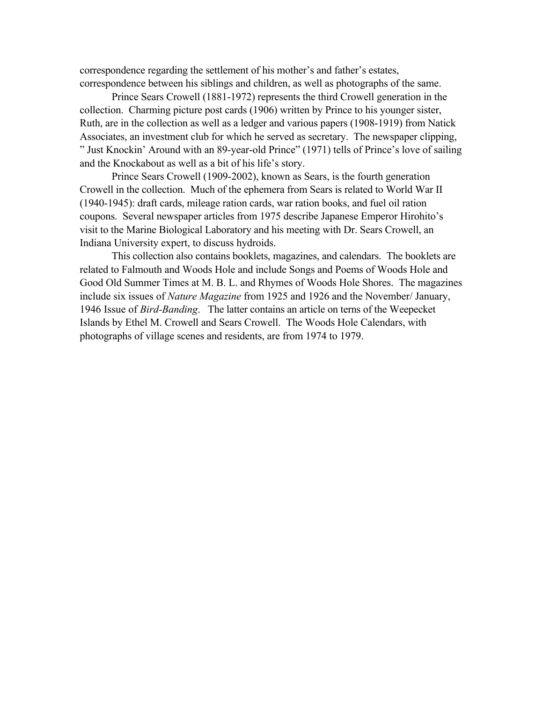correspondence regarding the settlement of his mother's and father's estates, correspondence between his siblings and children, as well as photographs of the same.

Prince Sears Crowell (1881-1972) represents the third Crowell generation in the collection. Charming picture post cards (1906) written by Prince to his younger sister, Ruth, are in the collection as well as a ledger and various papers (1908-1919) from Natick Associates, an investment club for which he served as secretary. The newspaper clipping, " Just Knockin' Around with an 89-year-old Prince" (1971) tells of Prince's love of sailing and the Knockabout as well as a bit of his life's story.

Prince Sears Crowell (1909-2002), known as Sears, is the fourth generation Crowell in the collection. Much of the ephemera from Sears is related to World War II (1940-1945): draft cards, mileage ration cards, war ration books, and fuel oil ration coupons. Several newspaper articles from 1975 describe Japanese Emperor Hirohito's visit to the Marine Biological Laboratory and his meeting with Dr. Sears Crowell, an Indiana University expert, to discuss hydroids.

This collection also contains booklets, magazines, and calendars. The booklets are related to Falmouth and Woods Hole and include Songs and Poems of Woods Hole and Good Old Summer Times at M. B. L. and Rhymes of Woods Hole Shores. The magazines include six issues of *Nature Magazine* from 1925 and 1926 and the November/ January, 1946 Issue of *Bird-Banding*. The latter contains an article on terns of the Weepecket Islands by Ethel M. Crowell and Sears Crowell. The Woods Hole Calendars, with photographs of village scenes and residents, are from 1974 to 1979.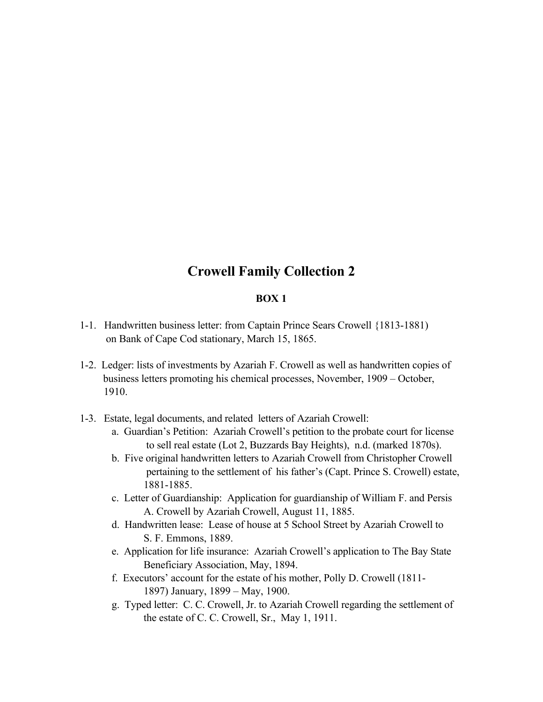# **Crowell Family Collection 2**

## **BOX 1**

- 1-1. Handwritten business letter: from Captain Prince Sears Crowell {1813-1881) on Bank of Cape Cod stationary, March 15, 1865.
- 1-2. Ledger: lists of investments by Azariah F. Crowell as well as handwritten copies of business letters promoting his chemical processes, November, 1909 – October, 1910.
- 1-3. Estate, legal documents, and related letters of Azariah Crowell:
	- a. Guardian's Petition: Azariah Crowell's petition to the probate court for license to sell real estate (Lot 2, Buzzards Bay Heights), n.d. (marked 1870s).
	- b. Five original handwritten letters to Azariah Crowell from Christopher Crowell pertaining to the settlement of his father's (Capt. Prince S. Crowell) estate, 1881-1885.
	- c. Letter of Guardianship: Application for guardianship of William F. and Persis A. Crowell by Azariah Crowell, August 11, 1885.
	- d. Handwritten lease: Lease of house at 5 School Street by Azariah Crowell to S. F. Emmons, 1889.
	- e. Application for life insurance: Azariah Crowell's application to The Bay State Beneficiary Association, May, 1894.
	- f. Executors' account for the estate of his mother, Polly D. Crowell (1811- 1897) January, 1899 – May, 1900.
	- g. Typed letter: C. C. Crowell, Jr. to Azariah Crowell regarding the settlement of the estate of C. C. Crowell, Sr., May 1, 1911.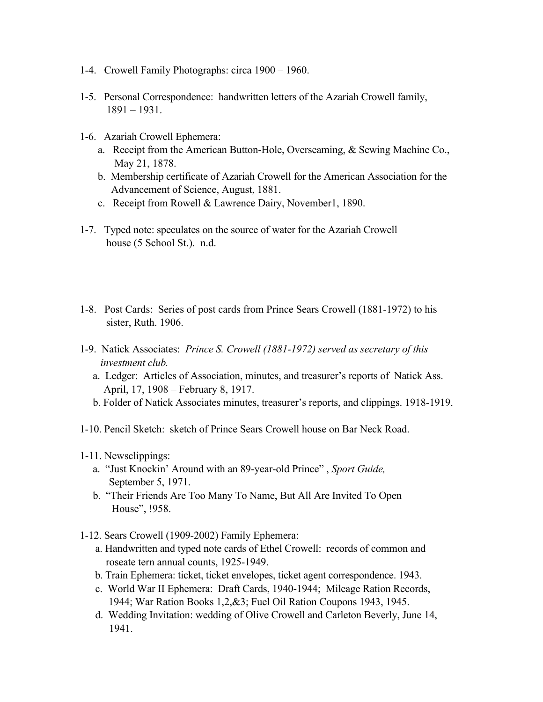- 1-4. Crowell Family Photographs: circa 1900 1960.
- 1-5. Personal Correspondence: handwritten letters of the Azariah Crowell family, 1891 – 1931.
- 1-6. Azariah Crowell Ephemera:
	- a. Receipt from the American Button-Hole, Overseaming, & Sewing Machine Co., May 21, 1878.
	- b. Membership certificate of Azariah Crowell for the American Association for the Advancement of Science, August, 1881.
	- c. Receipt from Rowell & Lawrence Dairy, November1, 1890.
- 1-7. Typed note: speculates on the source of water for the Azariah Crowell house (5 School St.). n.d.
- 1-8. Post Cards: Series of post cards from Prince Sears Crowell (1881-1972) to his sister, Ruth. 1906.
- 1-9. Natick Associates: *Prince S. Crowell (1881-1972) served as secretary of this investment club.*
	- a. Ledger: Articles of Association, minutes, and treasurer's reports of Natick Ass. April, 17, 1908 – February 8, 1917.
	- b. Folder of Natick Associates minutes, treasurer's reports, and clippings. 1918-1919.
- 1-10. Pencil Sketch: sketch of Prince Sears Crowell house on Bar Neck Road.
- 1-11. Newsclippings:
	- a. "Just Knockin' Around with an 89-year-old Prince" , *Sport Guide,* September 5, 1971.
	- b. "Their Friends Are Too Many To Name, But All Are Invited To Open House", !958.
- 1-12. Sears Crowell (1909-2002) Family Ephemera:
	- a. Handwritten and typed note cards of Ethel Crowell: records of common and roseate tern annual counts, 1925-1949.
	- b. Train Ephemera: ticket, ticket envelopes, ticket agent correspondence. 1943.
	- c. World War II Ephemera: Draft Cards, 1940-1944; Mileage Ration Records, 1944; War Ration Books 1,2,&3; Fuel Oil Ration Coupons 1943, 1945.
	- d. Wedding Invitation: wedding of Olive Crowell and Carleton Beverly, June 14, 1941.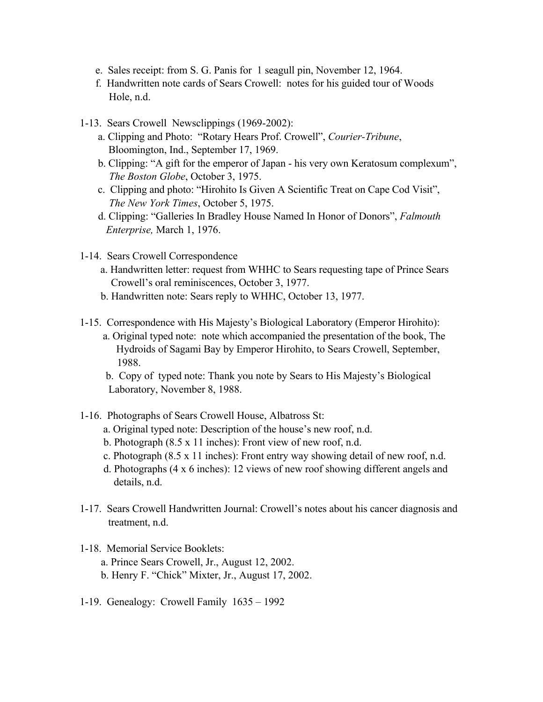- e. Sales receipt: from S. G. Panis for 1 seagull pin, November 12, 1964.
- f. Handwritten note cards of Sears Crowell: notes for his guided tour of Woods Hole, n.d.
- 1-13. Sears Crowell Newsclippings (1969-2002):
	- a. Clipping and Photo: "Rotary Hears Prof. Crowell", *Courier-Tribune*, Bloomington, Ind., September 17, 1969.
	- b. Clipping: "A gift for the emperor of Japan his very own Keratosum complexum", *The Boston Globe*, October 3, 1975.
	- c. Clipping and photo: "Hirohito Is Given A Scientific Treat on Cape Cod Visit", *The New York Times*, October 5, 1975.
	- d. Clipping: "Galleries In Bradley House Named In Honor of Donors", *Falmouth Enterprise,* March 1, 1976.
- 1-14. Sears Crowell Correspondence
	- a. Handwritten letter: request from WHHC to Sears requesting tape of Prince Sears Crowell's oral reminiscences, October 3, 1977.
	- b. Handwritten note: Sears reply to WHHC, October 13, 1977.
- 1-15. Correspondence with His Majesty's Biological Laboratory (Emperor Hirohito):
	- a. Original typed note: note which accompanied the presentation of the book, The Hydroids of Sagami Bay by Emperor Hirohito, to Sears Crowell, September, 1988.
	- b. Copy of typed note: Thank you note by Sears to His Majesty's Biological Laboratory, November 8, 1988.
- 1-16. Photographs of Sears Crowell House, Albatross St:
	- a. Original typed note: Description of the house's new roof, n.d.
	- b. Photograph (8.5 x 11 inches): Front view of new roof, n.d.
	- c. Photograph (8.5 x 11 inches): Front entry way showing detail of new roof, n.d.
	- d. Photographs (4 x 6 inches): 12 views of new roof showing different angels and details, n.d.
- 1-17. Sears Crowell Handwritten Journal: Crowell's notes about his cancer diagnosis and treatment, n.d.
- 1-18. Memorial Service Booklets:
	- a. Prince Sears Crowell, Jr., August 12, 2002.
	- b. Henry F. "Chick" Mixter, Jr., August 17, 2002.
- 1-19. Genealogy: Crowell Family 1635 1992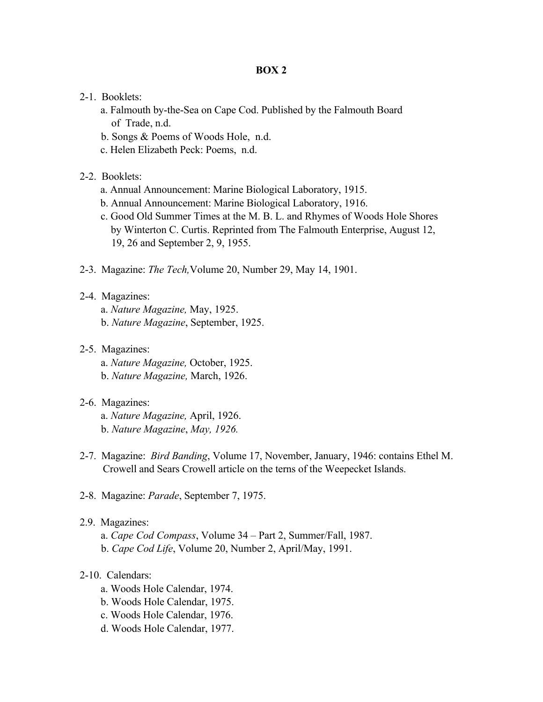## **BOX 2**

- 2-1. Booklets:
	- a. Falmouth by-the-Sea on Cape Cod. Published by the Falmouth Board of Trade, n.d.
	- b. Songs & Poems of Woods Hole, n.d.
	- c. Helen Elizabeth Peck: Poems, n.d.
- 2-2. Booklets:
	- a. Annual Announcement: Marine Biological Laboratory, 1915.
	- b. Annual Announcement: Marine Biological Laboratory, 1916.
	- c. Good Old Summer Times at the M. B. L. and Rhymes of Woods Hole Shores by Winterton C. Curtis. Reprinted from The Falmouth Enterprise, August 12, 19, 26 and September 2, 9, 1955.
- 2-3. Magazine: *The Tech,*Volume 20, Number 29, May 14, 1901.
- 2-4. Magazines:
	- a. *Nature Magazine,* May, 1925.
	- b. *Nature Magazine*, September, 1925.
- 2-5. Magazines:
	- a. *Nature Magazine,* October, 1925.
	- b. *Nature Magazine,* March, 1926.
- 2-6. Magazines:
	- a. *Nature Magazine,* April, 1926. b. *Nature Magazine*, *May, 1926.*
- 2-7. Magazine: *Bird Banding*, Volume 17, November, January, 1946: contains Ethel M. Crowell and Sears Crowell article on the terns of the Weepecket Islands.
- 2-8. Magazine: *Parade*, September 7, 1975.
- 2.9. Magazines:

 a. *Cape Cod Compass*, Volume 34 – Part 2, Summer/Fall, 1987. b. *Cape Cod Life*, Volume 20, Number 2, April/May, 1991.

### 2-10. Calendars:

- a. Woods Hole Calendar, 1974.
- b. Woods Hole Calendar, 1975.
- c. Woods Hole Calendar, 1976.
- d. Woods Hole Calendar, 1977.